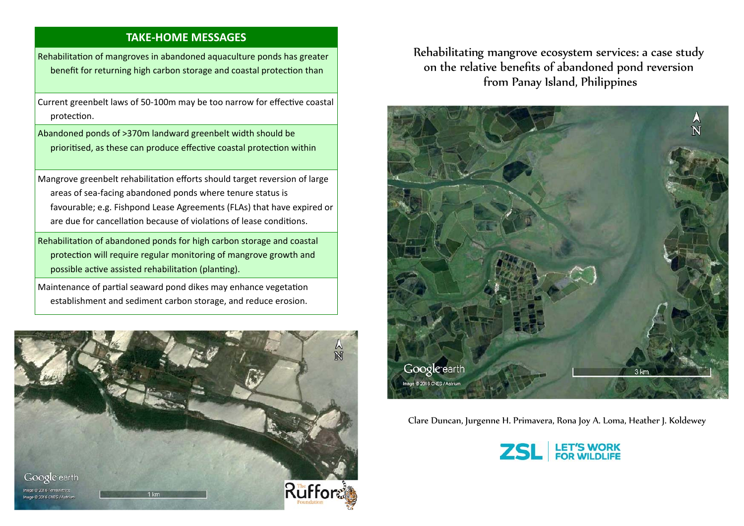## **TAKE‐HOME MESSAGES**

Rehabilitation of mangroves in abandoned aquaculture ponds has greater benefit for returning high carbon storage and coastal protection than

Current greenbelt laws of 50-100m may be too narrow for effective coastal protection.

Abandoned ponds of >370m landward greenbelt width should be prioritised, as these can produce effective coastal protection within

Mangrove greenbelt rehabilitation efforts should target reversion of large areas of sea‐facing abandoned ponds where tenure status is favourable; e.g. Fishpond Lease Agreements (FLAs) that have expired or are due for cancellation because of violations of lease conditions.

Rehabilitation of abandoned ponds for high carbon storage and coastal protection will require regular monitoring of mangrove growth and possible active assisted rehabilitation (planting).

Maintenance of partial seaward pond dikes may enhance vegetation establishment and sediment carbon storage, and reduce erosion.



Rehabilitating mangrove ecosystem services: a case study on the relative benefits of abandoned pond reversion from Panay Island, Philippines



Clare Duncan, Jurgenne H. Primavera, Rona Joy A. Loma, Heather J. Koldewey